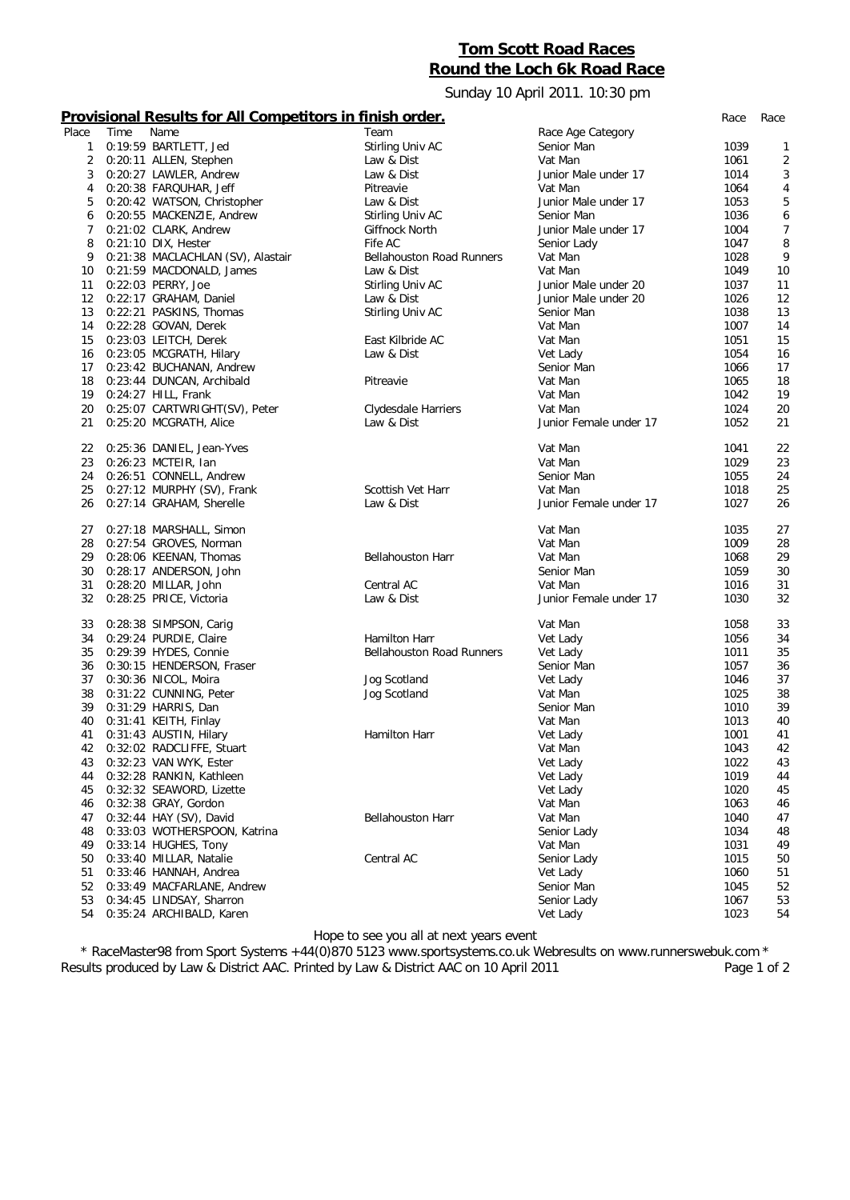## **Tom Scott Road Races Round the Loch 6k Road Race**

Sunday 10 April 2011. 10:30 pm

## **Provisional Results for All Competitors in finish order.** *Race Race*

| Place        | Time | Name                              | Team                             | Race Age Category      |      |                  |
|--------------|------|-----------------------------------|----------------------------------|------------------------|------|------------------|
| $\mathbf{1}$ |      | 0:19:59 BARTLETT, Jed             | Stirling Univ AC                 | Senior Man             | 1039 | 1                |
| 2            |      | 0:20:11 ALLEN, Stephen            | Law & Dist                       | Vat Man                | 1061 | $\sqrt{2}$       |
| 3            |      | 0:20:27 LAWLER, Andrew            | Law & Dist                       | Junior Male under 17   | 1014 | 3                |
| 4            |      | 0:20:38 FARQUHAR, Jeff            | Pitreavie                        | Vat Man                | 1064 | $\overline{4}$   |
| 5            |      | 0:20:42 WATSON, Christopher       | Law & Dist                       | Junior Male under 17   | 1053 | 5                |
| 6            |      | 0:20:55 MACKENZIE, Andrew         | Stirling Univ AC                 | Senior Man             | 1036 | 6                |
| 7            |      | 0:21:02 CLARK, Andrew             | Giffnock North                   | Junior Male under 17   | 1004 | $\boldsymbol{7}$ |
| 8            |      | 0:21:10 DIX, Hester               | Fife AC                          | Senior Lady            | 1047 | 8                |
| 9            |      | 0:21:38 MACLACHLAN (SV), Alastair | <b>Bellahouston Road Runners</b> | Vat Man                | 1028 | 9                |
| 10           |      | 0:21:59 MACDONALD, James          | Law & Dist                       | Vat Man                | 1049 | 10               |
|              |      |                                   |                                  |                        |      |                  |
| 11           |      | 0:22:03 PERRY, Joe                | Stirling Univ AC                 | Junior Male under 20   | 1037 | 11               |
| 12           |      | 0:22:17 GRAHAM, Daniel            | Law & Dist                       | Junior Male under 20   | 1026 | 12               |
| 13           |      | 0:22:21 PASKINS, Thomas           | Stirling Univ AC                 | Senior Man             | 1038 | 13               |
| 14           |      | 0:22:28 GOVAN, Derek              |                                  | Vat Man                | 1007 | 14               |
| 15           |      | 0:23:03 LEITCH, Derek             | East Kilbride AC                 | Vat Man                | 1051 | 15               |
| 16           |      | 0:23:05 MCGRATH, Hilary           | Law & Dist                       | Vet Lady               | 1054 | 16               |
| 17           |      | 0:23:42 BUCHANAN, Andrew          |                                  | Senior Man             | 1066 | 17               |
| 18           |      | 0:23:44 DUNCAN, Archibald         | Pitreavie                        | Vat Man                | 1065 | 18               |
| 19           |      | 0:24:27 HILL, Frank               |                                  | Vat Man                | 1042 | 19               |
| 20           |      | 0:25:07 CARTWRIGHT(SV), Peter     | Clydesdale Harriers              | Vat Man                | 1024 | 20               |
| 21           |      | 0:25:20 MCGRATH, Alice            | Law & Dist                       | Junior Female under 17 | 1052 | 21               |
|              |      |                                   |                                  |                        |      |                  |
| 22           |      | 0:25:36 DANIEL, Jean-Yves         |                                  | Vat Man                | 1041 | 22               |
| 23           |      | 0:26:23 MCTEIR, lan               |                                  | Vat Man                | 1029 | 23               |
| 24           |      | 0:26:51 CONNELL, Andrew           |                                  | Senior Man             | 1055 | 24               |
| 25           |      | 0:27:12 MURPHY (SV), Frank        | Scottish Vet Harr                | Vat Man                | 1018 | 25               |
| 26           |      | 0:27:14 GRAHAM, Sherelle          | Law & Dist                       | Junior Female under 17 | 1027 | 26               |
|              |      |                                   |                                  |                        |      |                  |
| 27           |      | 0:27:18 MARSHALL, Simon           |                                  | Vat Man                | 1035 | 27               |
| 28           |      | 0:27:54 GROVES, Norman            |                                  | Vat Man                | 1009 | 28               |
| 29           |      | 0:28:06 KEENAN, Thomas            | <b>Bellahouston Harr</b>         | Vat Man                | 1068 | 29               |
| 30           |      | 0:28:17 ANDERSON, John            |                                  | Senior Man             | 1059 | 30               |
| 31           |      | 0:28:20 MILLAR, John              | Central AC                       | Vat Man                | 1016 | 31               |
| 32           |      | 0:28:25 PRICE, Victoria           | Law & Dist                       | Junior Female under 17 | 1030 | 32               |
|              |      |                                   |                                  |                        |      |                  |
| 33           |      | 0:28:38 SIMPSON, Carig            |                                  | Vat Man                | 1058 | 33               |
| 34           |      | 0:29:24 PURDIE, Claire            | Hamilton Harr                    | Vet Lady               | 1056 | 34               |
| 35           |      | 0:29:39 HYDES, Connie             | <b>Bellahouston Road Runners</b> | Vet Lady               | 1011 | 35               |
| 36           |      | 0:30:15 HENDERSON, Fraser         |                                  | Senior Man             | 1057 | 36               |
| 37           |      | 0:30:36 NICOL, Moira              | Jog Scotland                     | Vet Lady               | 1046 | 37               |
| 38           |      | 0:31:22 CUNNING, Peter            | Jog Scotland                     | Vat Man                | 1025 | 38               |
| 39           |      | 0:31:29 HARRIS, Dan               |                                  | Senior Man             | 1010 | 39               |
|              |      |                                   |                                  | Vat Man                |      |                  |
| 40           |      | 0:31:41 KEITH, Finlay             |                                  |                        | 1013 | 40               |
| 41           |      | 0:31:43 AUSTIN, Hilary            | Hamilton Harr                    | Vet Lady               | 1001 | 41               |
| 42           |      | 0:32:02 RADCLIFFE, Stuart         |                                  | Vat Man                | 1043 | 42               |
| 43           |      | 0:32:23 VAN WYK, Ester            |                                  | Vet Lady               | 1022 | 43               |
| 44           |      | 0:32:28 RANKIN, Kathleen          |                                  | Vet Lady               | 1019 | 44               |
| 45           |      | 0:32:32 SEAWORD, Lizette          |                                  | Vet Lady               | 1020 | 45               |
| 46           |      | 0:32:38 GRAY, Gordon              |                                  | Vat Man                | 1063 | 46               |
| 47           |      | 0:32:44 HAY (SV), David           | Bellahouston Harr                | Vat Man                | 1040 | 47               |
| 48           |      | 0:33:03 WOTHERSPOON, Katrina      |                                  | Senior Lady            | 1034 | 48               |
| 49           |      | 0:33:14 HUGHES, Tony              |                                  | Vat Man                | 1031 | 49               |
| 50           |      | 0:33:40 MILLAR, Natalie           | Central AC                       | Senior Lady            | 1015 | 50               |
| 51           |      | 0:33:46 HANNAH, Andrea            |                                  | Vet Lady               | 1060 | 51               |
| 52           |      | 0:33:49 MACFARLANE, Andrew        |                                  | Senior Man             | 1045 | 52               |
| 53           |      | 0:34:45 LINDSAY, Sharron          |                                  | Senior Lady            | 1067 | 53               |
| 54           |      | 0:35:24 ARCHIBALD, Karen          |                                  | Vet Lady               | 1023 | 54               |
|              |      |                                   |                                  |                        |      |                  |

*Hope to see you all at next years event*

*\* RaceMaster98 from Sport Systems +44(0)870 5123 www.sportsystems.co.uk Webresults on www.runnerswebuk.com \** Results produced by Law & District AAC. Printed by Law & District AAC on 10 April 2011